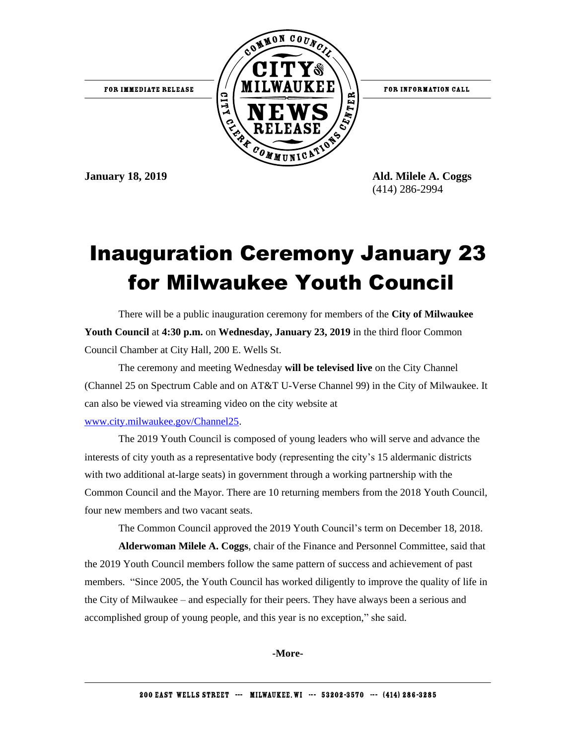

FOR INFORMATION CALL

**January 18, 2019 Ald. Milele A. Coggs** (414) 286-2994

## Inauguration Ceremony January 23 for Milwaukee Youth Council

There will be a public inauguration ceremony for members of the **City of Milwaukee Youth Council** at **4:30 p.m.** on **Wednesday, January 23, 2019** in the third floor Common Council Chamber at City Hall, 200 E. Wells St.

The ceremony and meeting Wednesday **will be televised live** on the City Channel (Channel 25 on Spectrum Cable and on AT&T U-Verse Channel 99) in the City of Milwaukee. It can also be viewed via streaming video on the city website at [www.city.milwaukee.gov/Channel25.](http://www.city.milwaukee.gov/Channel25)

The 2019 Youth Council is composed of young leaders who will serve and advance the interests of city youth as a representative body (representing the city's 15 aldermanic districts with two additional at-large seats) in government through a working partnership with the Common Council and the Mayor. There are 10 returning members from the 2018 Youth Council, four new members and two vacant seats.

The Common Council approved the 2019 Youth Council's term on December 18, 2018.

**Alderwoman Milele A. Coggs**, chair of the Finance and Personnel Committee, said that the 2019 Youth Council members follow the same pattern of success and achievement of past members. "Since 2005, the Youth Council has worked diligently to improve the quality of life in the City of Milwaukee – and especially for their peers. They have always been a serious and accomplished group of young people, and this year is no exception," she said.

**-More-**